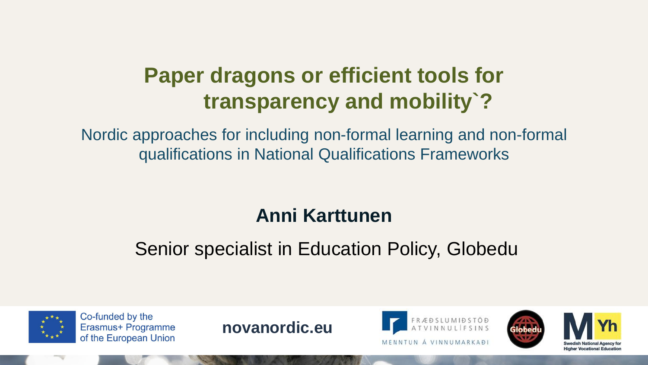# **Paper dragons or efficient tools for transparency and mobility`?**

Nordic approaches for including non-formal learning and non-formal qualifications in National Qualifications Frameworks

## **Anni Karttunen**

## Senior specialist in Education Policy, Globedu



Co-funded by the Erasmus+ Programme of the European Union

**novanordic.eu**



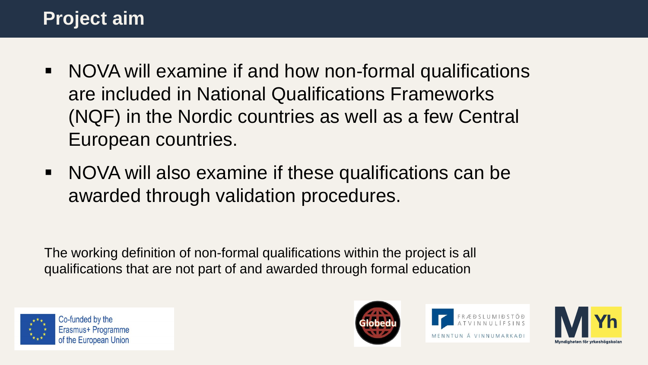## **Project aim**

- NOVA will examine if and how non-formal qualifications are included in National Qualifications Frameworks (NQF) in the Nordic countries as well as a few Central European countries.
- NOVA will also examine if these qualifications can be awarded through validation procedures.

The working definition of non-formal qualifications within the project is all qualifications that are not part of and awarded through formal education







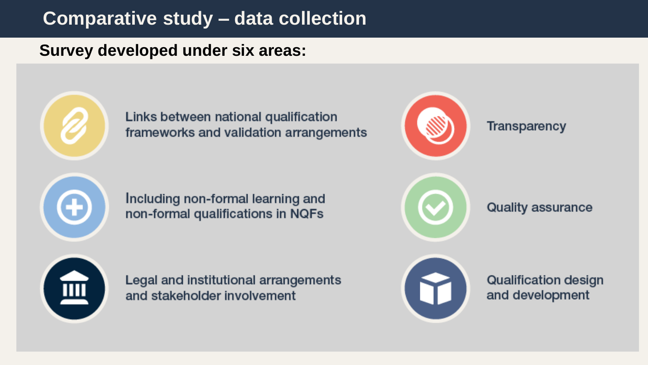### **Comparative study – data collection**

**Survey developed under six areas:**



Links between national qualification frameworks and validation arrangements

Including non-formal learning and non-formal qualifications in NQFs



Œ

Legal and institutional arrangements and stakeholder involvement



**Quality assurance** 

**Transparency** 



**Qualification design** and development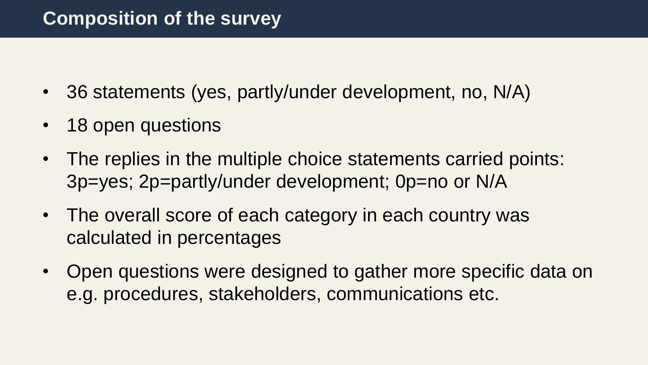- 36 statements (yes, partly/under development, no, N/A)
- 18 open questions
- The replies in the multiple choice statements carried points: 3p=yes; 2p=partly/under development; 0p=no or N/A
- The overall score of each category in each country was calculated in percentages
- Open questions were designed to gather more specific data on e.g. procedures, stakeholders, communications etc.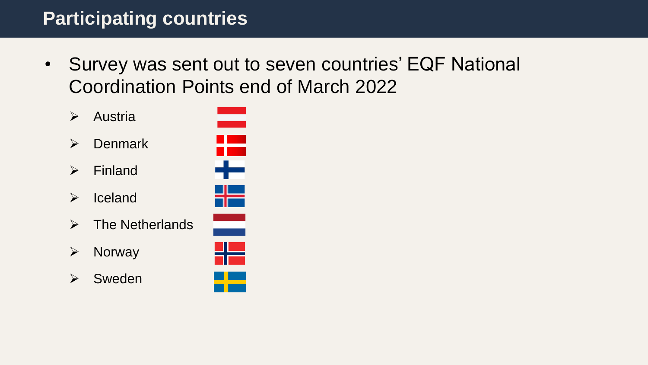## **Participating countries**

- Survey was sent out to seven countries' EQF National Coordination Points end of March 2022
	- ➢ Austria
	- ➢ Denmark
	- ➢ Finland
	- ➢ Iceland
	- $\triangleright$  The Netherlands
	- ➢ Norway
	- ➢ Sweden



- ₩
- ÷



--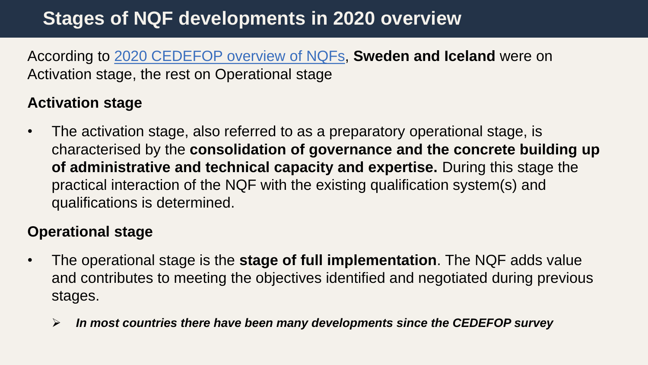## **Stages of NQF developments in 2020 overview**

According to [2020 CEDEFOP overview](https://www.cedefop.europa.eu/files/8611_en.pdf) of NQFs, **Sweden and Iceland** were on Activation stage, the rest on Operational stage

#### **Activation stage**

• The activation stage, also referred to as a preparatory operational stage, is characterised by the **consolidation of governance and the concrete building up of administrative and technical capacity and expertise.** During this stage the practical interaction of the NQF with the existing qualification system(s) and qualifications is determined.

#### **Operational stage**

- The operational stage is the **stage of full implementation**. The NQF adds value and contributes to meeting the objectives identified and negotiated during previous stages.
	- ➢ *In most countries there have been many developments since the CEDEFOP survey*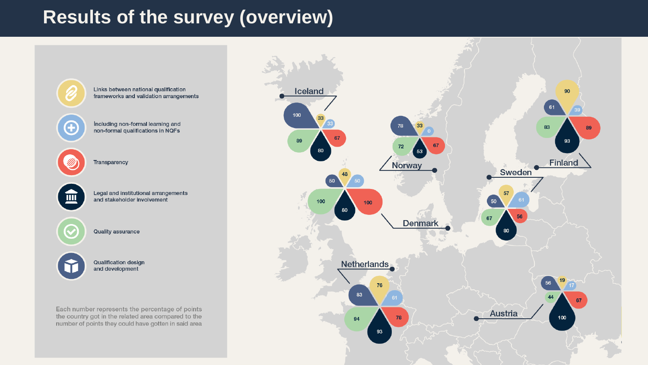### **Results of the survey (overview)**

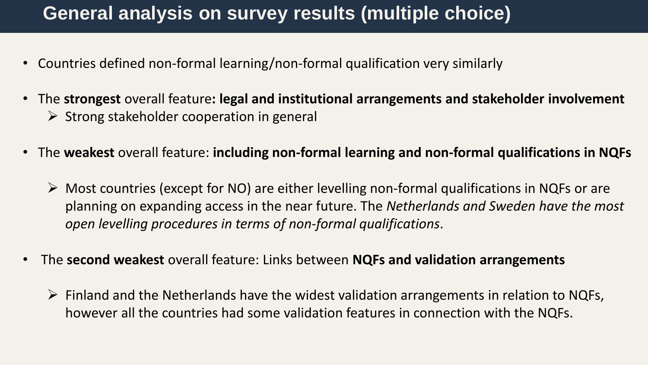### **General analysis on survey results (multiple choice)**

- Countries defined non-formal learning/non-formal qualification very similarly
- The **strongest** overall feature**: legal and institutional arrangements and stakeholder involvement**  $\triangleright$  Strong stakeholder cooperation in general
- The **weakest** overall feature: **including non-formal learning and non-formal qualifications in NQFs**
	- ➢ Most countries (except for NO) are either levelling non-formal qualifications in NQFs or are planning on expanding access in the near future. The *Netherlands and Sweden have the most open levelling procedures in terms of non-formal qualifications*.
- The **second weakest** overall feature: Links between **NQFs and validation arrangements**
	- $\triangleright$  Finland and the Netherlands have the widest validation arrangements in relation to NQFs, however all the countries had some validation features in connection with the NQFs.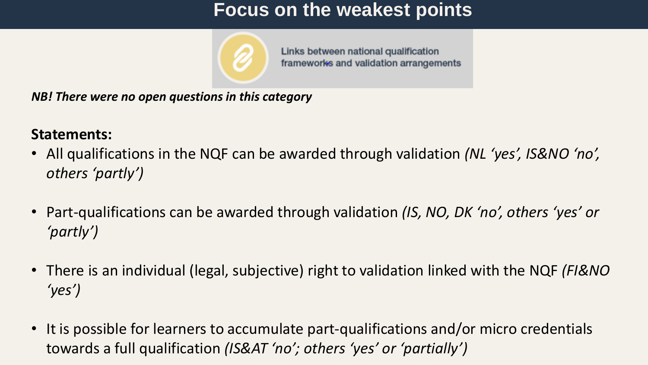### **Focus on the weakest points**



Links between national qualification frameworks and validation arrangements

*NB! There were no open questions in this category*

#### **Statements:**

- All qualifications in the NQF can be awarded through validation *(NL 'yes', IS&NO 'no', others 'partly')*
- Part-qualifications can be awarded through validation *(IS, NO, DK 'no', others 'yes' or 'partly')*
- There is an individual (legal, subjective) right to validation linked with the NQF *(FI&NO 'yes')*
- It is possible for learners to accumulate part-qualifications and/or micro credentials towards a full qualification *(IS&AT 'no'; others 'yes' or 'partially')*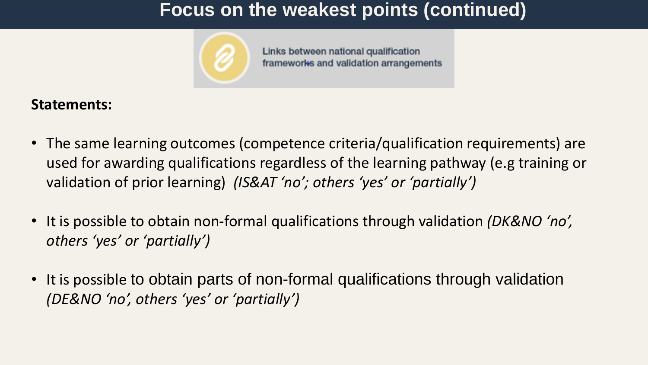### **Focus on the weakest points (continued)**



Links between national qualification frameworks and validation arrangements

#### **Statements:**

- The same learning outcomes (competence criteria/qualification requirements) are used for awarding qualifications regardless of the learning pathway (e.g training or validation of prior learning) *(IS&AT 'no'; others 'yes' or 'partially')*
- It is possible to obtain non-formal qualifications through validation *(DK&NO 'no', others 'yes' or 'partially')*
- It is possible to obtain parts of non-formal qualifications through validation *(DE&NO 'no', others 'yes' or 'partially')*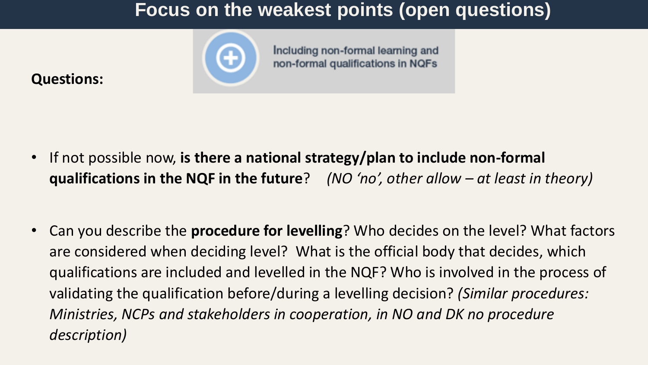### **Focus on the weakest points (open questions)**

Including non-formal learning and non-formal qualifications in NQFs



#### **Questions:**

- If not possible now, **is there a national strategy/plan to include non-formal qualifications in the NQF in the future**? *(NO 'no', other allow – at least in theory)*
- Can you describe the **procedure for levelling**? Who decides on the level? What factors are considered when deciding level? What is the official body that decides, which qualifications are included and levelled in the NQF? Who is involved in the process of validating the qualification before/during a levelling decision? *(Similar procedures: Ministries, NCPs and stakeholders in cooperation, in NO and DK no procedure description)*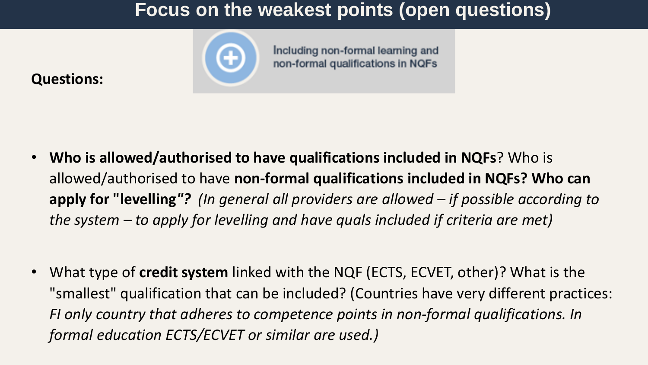### **Focus on the weakest points (open questions)**

Including non-formal learning and non-formal qualifications in NQFs



#### **Questions:**

- **Who is allowed/authorised to have qualifications included in NQFs**? Who is allowed/authorised to have **non-formal qualifications included in NQFs? Who can apply for "levelling***"? (In general all providers are allowed – if possible according to the system – to apply for levelling and have quals included if criteria are met)*
- What type of **credit system** linked with the NQF (ECTS, ECVET, other)? What is the "smallest" qualification that can be included? (Countries have very different practices: *FI only country that adheres to competence points in non-formal qualifications. In formal education ECTS/ECVET or similar are used.)*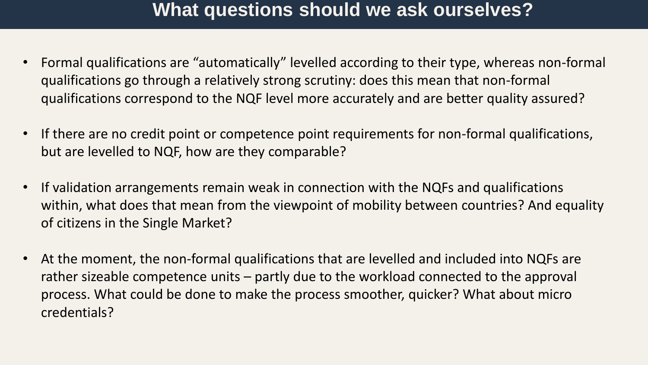### **What questions should we ask ourselves?**

- Formal qualifications are "automatically" levelled according to their type, whereas non-formal qualifications go through a relatively strong scrutiny: does this mean that non-formal qualifications correspond to the NQF level more accurately and are better quality assured?
- If there are no credit point or competence point requirements for non-formal qualifications, but are levelled to NQF, how are they comparable?
- If validation arrangements remain weak in connection with the NQFs and qualifications within, what does that mean from the viewpoint of mobility between countries? And equality of citizens in the Single Market?
- At the moment, the non-formal qualifications that are levelled and included into NQFs are rather sizeable competence units – partly due to the workload connected to the approval process. What could be done to make the process smoother, quicker? What about micro credentials?